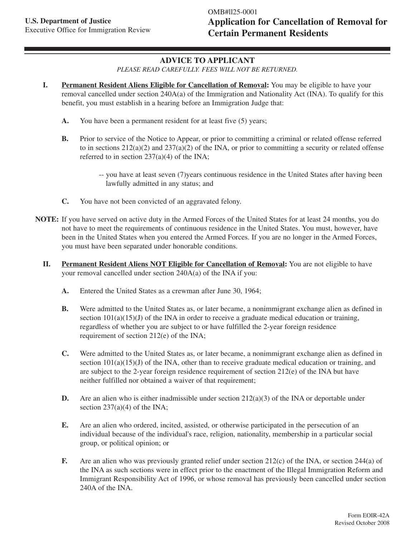## **ADVICE TO APPLICANT**

*PLEASE READ CAREFULLY. FEES WILL NOT BE RETURNED.*

- **I. Permanent Resident Aliens Eligible for Cancellation of Removal:** You may be eligible to have your removal cancelled under section 240A(a) of the Immigration and Nationality Act (INA). To qualify for this benefit, you must establish in a hearing before an Immigration Judge that:
	- **A.** You have been a permanent resident for at least five (5) years;
	- **B.** Prior to service of the Notice to Appear, or prior to committing a criminal or related offense referred to in sections  $212(a)(2)$  and  $237(a)(2)$  of the INA, or prior to committing a security or related offense referred to in section 237(a)(4) of the INA;
		- -- you have at least seven (7)years continuous residence in the United States after having been lawfully admitted in any status; and
	- **C.** You have not been convicted of an aggravated felony.
- **NOTE:** If you have served on active duty in the Armed Forces of the United States for at least 24 months, you do not have to meet the requirements of continuous residence in the United States. You must, however, have been in the United States when you entered the Armed Forces. If you are no longer in the Armed Forces, you must have been separated under honorable conditions.
	- **II. Permanent Resident Aliens NOT Eligible for Cancellation of Removal:** You are not eligible to have your removal cancelled under section 240A(a) of the INA if you:
		- **A.** Entered the United States as a crewman after June 30, 1964;
		- **B.** Were admitted to the United States as, or later became, a nonimmigrant exchange alien as defined in section  $101(a)(15)(J)$  of the INA in order to receive a graduate medical education or training, regardless of whether you are subject to or have fulfilled the 2-year foreign residence requirement of section 212(e) of the INA;
		- **C.** Were admitted to the United States as, or later became, a nonimmigrant exchange alien as defined in section  $101(a)(15)(J)$  of the INA, other than to receive graduate medical education or training, and are subject to the 2-year foreign residence requirement of section 212(e) of the INA but have neither fulfilled nor obtained a waiver of that requirement;
		- **D.** Are an alien who is either inadmissible under section  $212(a)(3)$  of the INA or deportable under section  $237(a)(4)$  of the INA;
		- **E.** Are an alien who ordered, incited, assisted, or otherwise participated in the persecution of an individual because of the individual's race, religion, nationality, membership in a particular social group, or political opinion; or
		- **F.** Are an alien who was previously granted relief under section 212(c) of the INA, or section 244(a) of the INA as such sections were in effect prior to the enactment of the Illegal Immigration Reform and Immigrant Responsibility Act of 1996, or whose removal has previously been cancelled under section 240A of the INA.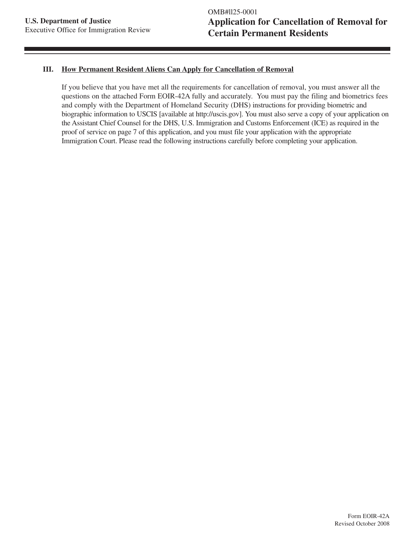#### **III. How Permanent Resident Aliens Can Apply for Cancellation of Removal**

If you believe that you have met all the requirements for cancellation of removal, you must answer all the questions on the attached Form EOIR-42A fully and accurately. You must pay the filing and biometrics fees and comply with the Department of Homeland Security (DHS) instructions for providing biometric and biographic information to USCIS [available at http://uscis.gov]. You must also serve a copy of your application on the Assistant Chief Counsel for the DHS, U.S. Immigration and Customs Enforcement (ICE) as required in the proof of service on page 7 of this application, and you must file your application with the appropriate Immigration Court. Please read the following instructions carefully before completing your application.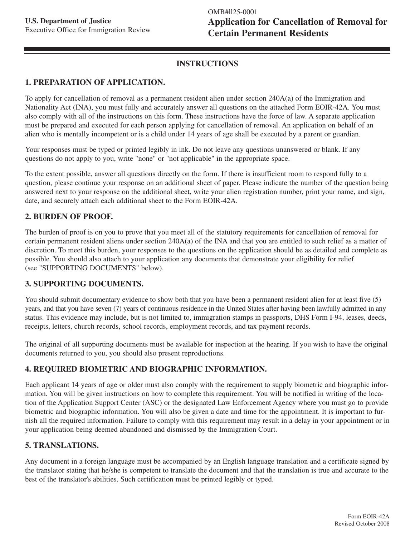## **INSTRUCTIONS**

#### **1. PREPARATION OF APPLICATION.**

To apply for cancellation of removal as a permanent resident alien under section 240A(a) of the Immigration and Nationality Act (INA), you must fully and accurately answer all questions on the attached Form EOIR-42A. You must also comply with all of the instructions on this form. These instructions have the force of law. A separate application must be prepared and executed for each person applying for cancellation of removal. An application on behalf of an alien who is mentally incompetent or is a child under 14 years of age shall be executed by a parent or guardian.

Your responses must be typed or printed legibly in ink. Do not leave any questions unanswered or blank. If any questions do not apply to you, write "none" or "not applicable" in the appropriate space.

To the extent possible, answer all questions directly on the form. If there is insufficient room to respond fully to a question, please continue your response on an additional sheet of paper. Please indicate the number of the question being answered next to your response on the additional sheet, write your alien registration number, print your name, and sign, date, and securely attach each additional sheet to the Form EOIR-42A.

#### **2. BURDEN OF PROOF.**

The burden of proof is on you to prove that you meet all of the statutory requirements for cancellation of removal for certain permanent resident aliens under section 240A(a) of the INA and that you are entitled to such relief as a matter of discretion. To meet this burden, your responses to the questions on the application should be as detailed and complete as possible. You should also attach to your application any documents that demonstrate your eligibility for relief (see "SUPPORTING DOCUMENTS" below).

#### **3. SUPPORTING DOCUMENTS.**

You should submit documentary evidence to show both that you have been a permanent resident alien for at least five (5) years, and that you have seven (7) years of continuous residence in the United States after having been lawfully admitted in any status. This evidence may include, but is not limited to, immigration stamps in passports, DHS Form I-94, leases, deeds, receipts, letters, church records, school records, employment records, and tax payment records.

The original of all supporting documents must be available for inspection at the hearing. If you wish to have the original documents returned to you, you should also present reproductions.

## **4. REQUIRED BIOMETRIC AND BIOGRAPHIC INFORMATION.**

Each applicant 14 years of age or older must also comply with the requirement to supply biometric and biographic information. You will be given instructions on how to complete this requirement. You will be notified in writing of the location of the Application Support Center (ASC) or the designated Law Enforcement Agency where you must go to provide biometric and biographic information. You will also be given a date and time for the appointment. It is important to furnish all the required information. Failure to comply with this requirement may result in a delay in your appointment or in your application being deemed abandoned and dismissed by the Immigration Court.

## **5. TRANSLATIONS.**

Any document in a foreign language must be accompanied by an English language translation and a certificate signed by the translator stating that he/she is competent to translate the document and that the translation is true and accurate to the best of the translator's abilities. Such certification must be printed legibly or typed.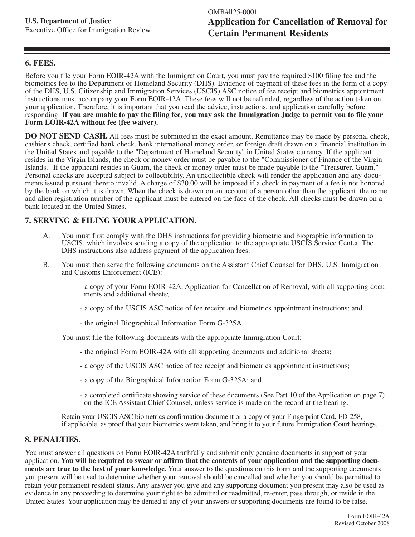#### **6. FEES.**

Before you file your Form EOIR-42A with the Immigration Court, you must pay the required \$100 filing fee and the biometrics fee to the Department of Homeland Security (DHS). Evidence of payment of these fees in the form of a copy of the DHS, U.S. Citizenship and Immigration Services (USCIS) ASC notice of fee receipt and biometrics appointment instructions must accompany your Form EOIR-42A. These fees will not be refunded, regardless of the action taken on your application. Therefore, it is important that you read the advice, instructions, and application carefully before responding. **If you are unable to pay the filing fee, you may ask the Immigration Judge to permit you to file your Form EOIR-42A without fee (fee waiver).**

**DO NOT SEND CASH.** All fees must be submitted in the exact amount. Remittance may be made by personal check, cashier's check, certified bank check, bank international money order, or foreign draft drawn on a financial institution in the United States and payable to the "Department of Homeland Security'' in United States currency. If the applicant resides in the Virgin Islands, the check or money order must be payable to the "Commissioner of Finance of the Virgin Islands." If the applicant resides in Guam, the check or money order must be made payable to the "Treasurer, Guam." Personal checks are accepted subject to collectibility. An uncollectible check will render the application and any documents issued pursuant thereto invalid. A charge of \$30.00 will be imposed if a check in payment of a fee is not honored by the bank on which it is drawn. When the check is drawn on an account of a person other than the applicant, the name and alien registration number of the applicant must be entered on the face of the check. All checks must be drawn on a bank located in the United States.

#### **7. SERVING & FILING YOUR APPLICATION.**

- A. You must first comply with the DHS instructions for providing biometric and biographic information to USCIS, which involves sending a copy of the application to the appropriate USCIS Service Center. The DHS instructions also address payment of the application fees.
- B. You must then serve the following documents on the Assistant Chief Counsel for DHS, U.S. Immigration and Customs Enforcement (ICE):
	- a copy of your Form EOIR-42A, Application for Cancellation of Removal, with all supporting documents and additional sheets;
	- a copy of the USCIS ASC notice of fee receipt and biometrics appointment instructions; and
	- the original Biographical Information Form G-325A.

You must file the following documents with the appropriate Immigration Court:

- the original Form EOIR-42A with all supporting documents and additional sheets;
- a copy of the USCIS ASC notice of fee receipt and biometrics appointment instructions;
- a copy of the Biographical Information Form G-325A; and
- a completed certificate showing service of these documents (See Part 10 of the Application on page 7) on the ICE Assistant Chief Counsel, unless service is made on the record at the hearing.

Retain your USCIS ASC biometrics confirmation document or a copy of your Fingerprint Card, FD-258, if applicable, as proof that your biometrics were taken, and bring it to your future Immigration Court hearings.

#### **8. PENALTIES.**

You must answer all questions on Form EOIR-42A truthfully and submit only genuine documents in support of your application. **You will be required to swear or affirm that the contents of your application and the supporting documents are true to the best of your knowledge**. Your answer to the questions on this form and the supporting documents you present will be used to determine whether your removal should be cancelled and whether you should be permitted to retain your permanent resident status. Any answer you give and any supporting document you present may also be used as evidence in any proceeding to determine your right to be admitted or readmitted, re-enter, pass through, or reside in the United States. Your application may be denied if any of your answers or supporting documents are found to be false.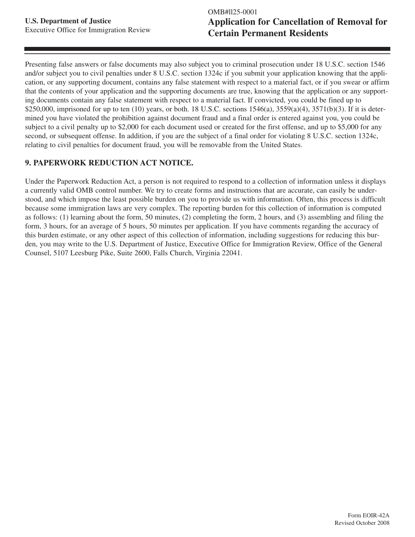Presenting false answers or false documents may also subject you to criminal prosecution under 18 U.S.C. section 1546 and/or subject you to civil penalties under 8 U.S.C. section 1324c if you submit your application knowing that the application, or any supporting document, contains any false statement with respect to a material fact, or if you swear or affirm that the contents of your application and the supporting documents are true, knowing that the application or any supporting documents contain any false statement with respect to a material fact. If convicted, you could be fined up to \$250,000, imprisoned for up to ten  $(10)$  years, or both. 18 U.S.C. sections  $1546(a)$ ,  $3559(a)(4)$ ,  $3571(b)(3)$ . If it is determined you have violated the prohibition against document fraud and a final order is entered against you, you could be subject to a civil penalty up to \$2,000 for each document used or created for the first offense, and up to \$5,000 for any second, or subsequent offense. In addition, if you are the subject of a final order for violating 8 U.S.C. section 1324c, relating to civil penalties for document fraud, you will be removable from the United States.

## **9. PAPERWORK REDUCTION ACT NOTICE.**

Under the Paperwork Reduction Act, a person is not required to respond to a collection of information unless it displays a currently valid OMB control number. We try to create forms and instructions that are accurate, can easily be understood, and which impose the least possible burden on you to provide us with information. Often, this process is difficult because some immigration laws are very complex. The reporting burden for this collection of information is computed as follows: (1) learning about the form, 50 minutes, (2) completing the form, 2 hours, and (3) assembling and filing the form, 3 hours, for an average of 5 hours, 50 minutes per application. If you have comments regarding the accuracy of this burden estimate, or any other aspect of this collection of information, including suggestions for reducing this burden, you may write to the U.S. Department of Justice, Executive Office for Immigration Review, Office of the General Counsel, 5107 Leesburg Pike, Suite 2600, Falls Church, Virginia 22041.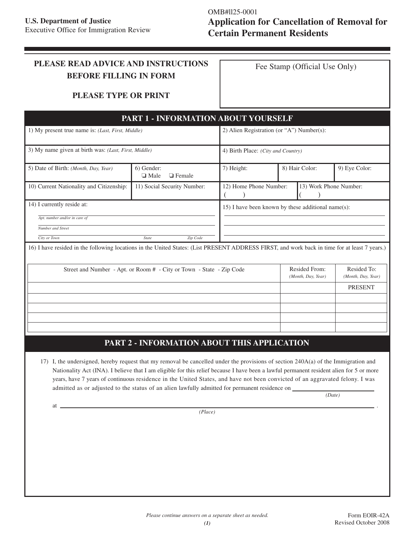# **PLEASE READ ADVICE AND INSTRUCTIONS BEFORE FILLING IN FORM**

Fee Stamp (Official Use Only)

#### **PLEASE TYPE OR PRINT**

| 1) My present true name is: (Last, First, Middle)    |                              | 2) Alien Registration (or "A") Number(s):                            |                                                                                                                                                                                                                                                                                                                       |  |  |
|------------------------------------------------------|------------------------------|----------------------------------------------------------------------|-----------------------------------------------------------------------------------------------------------------------------------------------------------------------------------------------------------------------------------------------------------------------------------------------------------------------|--|--|
| 3) My name given at birth was: (Last, First, Middle) |                              |                                                                      |                                                                                                                                                                                                                                                                                                                       |  |  |
| 6) Gender:<br>$\Box$ Male<br>$\Box$ Female           | 8) Hair Color:<br>7) Height: |                                                                      | 9) Eye Color:                                                                                                                                                                                                                                                                                                         |  |  |
| 11) Social Security Number:                          |                              |                                                                      | 13) Work Phone Number:                                                                                                                                                                                                                                                                                                |  |  |
| 14) I currently reside at:                           |                              |                                                                      |                                                                                                                                                                                                                                                                                                                       |  |  |
|                                                      |                              |                                                                      |                                                                                                                                                                                                                                                                                                                       |  |  |
|                                                      |                              |                                                                      |                                                                                                                                                                                                                                                                                                                       |  |  |
| <b>State</b><br>Zip Code                             |                              |                                                                      |                                                                                                                                                                                                                                                                                                                       |  |  |
|                                                      |                              |                                                                      |                                                                                                                                                                                                                                                                                                                       |  |  |
|                                                      |                              | Resided From:<br>(Month, Day, Year)                                  | Resided To:<br>(Month, Day, Year)                                                                                                                                                                                                                                                                                     |  |  |
|                                                      |                              |                                                                      | <b>PRESENT</b>                                                                                                                                                                                                                                                                                                        |  |  |
|                                                      |                              |                                                                      |                                                                                                                                                                                                                                                                                                                       |  |  |
|                                                      |                              |                                                                      |                                                                                                                                                                                                                                                                                                                       |  |  |
|                                                      |                              |                                                                      |                                                                                                                                                                                                                                                                                                                       |  |  |
|                                                      |                              |                                                                      |                                                                                                                                                                                                                                                                                                                       |  |  |
|                                                      |                              | Street and Number - Apt. or Room # - City or Town - State - Zip Code | <b>PART 1 - INFORMATION ABOUT YOURSELF</b><br>4) Birth Place: (City and Country)<br>12) Home Phone Number:<br>15) I have been known by these additional name $(s)$ :<br>16) I have resided in the following locations in the United States: (List PRESENT ADDRESS FIRST, and work back in time for at least 7 years.) |  |  |

# **PART 2 - INFORMATION ABOUT THIS APPLICATION**

17) I, the undersigned, hereby request that my removal be cancelled under the provisions of section 240A(a) of the Immigration and Nationality Act (INA). I believe that I am eligible for this relief because I have been a lawful permanent resident alien for 5 or more years, have 7 years of continuous residence in the United States, and have not been convicted of an aggravated felony. I was admitted as or adjusted to the status of an alien lawfully admitted for permanent residence on \_

*(Date)*

at <u>the contract of the contract of the contract of the contract of the contract of the contract of the contract of</u> *(Place)*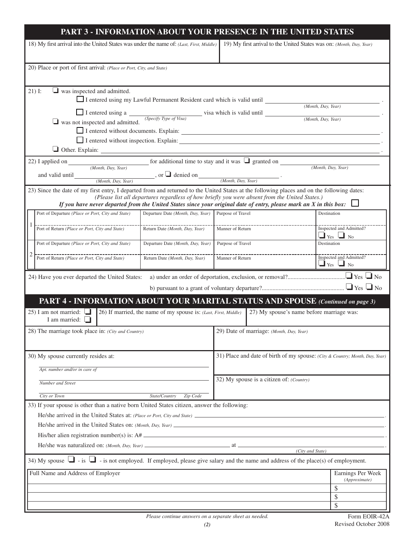|                                                                                                                                                                                                                                                                   | PART 3 - INFORMATION ABOUT YOUR PRESENCE IN THE UNITED STATES                                  |                   |                                                                      |                                                                              |
|-------------------------------------------------------------------------------------------------------------------------------------------------------------------------------------------------------------------------------------------------------------------|------------------------------------------------------------------------------------------------|-------------------|----------------------------------------------------------------------|------------------------------------------------------------------------------|
| 18) My first arrival into the United States was under the name of: (Last, First, Middle)                                                                                                                                                                          |                                                                                                |                   | 19) My first arrival to the United States was on: (Month, Day, Year) |                                                                              |
| 20) Place or port of first arrival: (Place or Port, City, and State)                                                                                                                                                                                              |                                                                                                |                   |                                                                      |                                                                              |
| $\Box$ was inspected and admitted.<br>$21)$ I:                                                                                                                                                                                                                    |                                                                                                |                   |                                                                      |                                                                              |
|                                                                                                                                                                                                                                                                   | $\Box$ I entered using my Lawful Permanent Resident card which is valid until                  |                   |                                                                      | (Month, Day, Year)                                                           |
| $\Box$ I entered using a $\Box$ visa which is valid until $\Box$ was not inspected and admitted. (Specify Type of Visa)                                                                                                                                           |                                                                                                |                   |                                                                      |                                                                              |
|                                                                                                                                                                                                                                                                   |                                                                                                |                   |                                                                      | (Month, Day, Year)                                                           |
|                                                                                                                                                                                                                                                                   |                                                                                                |                   |                                                                      |                                                                              |
|                                                                                                                                                                                                                                                                   |                                                                                                |                   |                                                                      |                                                                              |
|                                                                                                                                                                                                                                                                   |                                                                                                |                   |                                                                      |                                                                              |
| 22) I applied on <i>(Month, Day, Year)</i> for additional time to stay and it was $\Box$ granted on <i>(Month, Day, Year)</i>                                                                                                                                     |                                                                                                |                   |                                                                      | (Month, Day, Year)                                                           |
| and valid until <i>Month</i> , <i>Day</i> , <i>Year</i> )                                                                                                                                                                                                         | , or $\Box$ denied on $\frac{\Box (Month, Day, Year)}{\Diamond (Month, Day, Year)}$ .          |                   |                                                                      |                                                                              |
| 23) Since the date of my first entry, I departed from and returned to the United States at the following places and on the following dates:<br>If you have never departed from the United States since your original date of entry, please mark an X in this box: | (Please list all departures regardless of how briefly you were absent from the United States.) |                   |                                                                      |                                                                              |
| Port of Departure (Place or Port, City and State)                                                                                                                                                                                                                 | Departure Date (Month, Day, Year) Purpose of Travel                                            |                   |                                                                      | Destination                                                                  |
|                                                                                                                                                                                                                                                                   | Return Date (Month, Day, Year)                                                                 | Manner of Return  |                                                                      | Inspected and Admitted?<br>$\Box$ Yes $\Box$ No                              |
| Port of Departure (Place or Port, City and State)                                                                                                                                                                                                                 | Departure Date (Month, Day, Year)                                                              | Purpose of Travel |                                                                      | Destination                                                                  |
| Port of Return ( <i>Place or Port, City and State</i> )                                                                                                                                                                                                           | Return Date (Month, Day, Year)                                                                 | Manner of Return  |                                                                      | Inspected and Admitted?<br>$\Box$ Yes $\Box$ No                              |
| 24) Have you ever departed the United States:                                                                                                                                                                                                                     |                                                                                                |                   |                                                                      |                                                                              |
|                                                                                                                                                                                                                                                                   |                                                                                                |                   |                                                                      |                                                                              |
| PART 4 - INFORMATION ABOUT YOUR MARITAL STATUS AND SPOUSE (Continued on page 3)                                                                                                                                                                                   |                                                                                                |                   |                                                                      |                                                                              |
| 25) I am not married: $\Box$<br>I am married: $\Box$                                                                                                                                                                                                              | 26) If married, the name of my spouse is: (Last, First, Middle)                                |                   | 27) My spouse's name before marriage was:                            |                                                                              |
| 28) The marriage took place in: (City and Country)                                                                                                                                                                                                                |                                                                                                |                   | 29) Date of marriage: (Month, Day, Year)                             |                                                                              |
|                                                                                                                                                                                                                                                                   |                                                                                                |                   |                                                                      |                                                                              |
| 30) My spouse currently resides at:                                                                                                                                                                                                                               |                                                                                                |                   |                                                                      | 31) Place and date of birth of my spouse: (City & Country; Month, Day, Year) |
| Apt. number and/or in care of                                                                                                                                                                                                                                     |                                                                                                |                   |                                                                      |                                                                              |
| Number and Street                                                                                                                                                                                                                                                 |                                                                                                |                   | 32) My spouse is a citizen of: (Country)                             |                                                                              |
| City or Town                                                                                                                                                                                                                                                      | State/Country<br>Zip Code                                                                      |                   |                                                                      |                                                                              |
| 33) If your spouse is other than a native born United States citizen, answer the following:                                                                                                                                                                       |                                                                                                |                   |                                                                      |                                                                              |
|                                                                                                                                                                                                                                                                   |                                                                                                |                   |                                                                      |                                                                              |
|                                                                                                                                                                                                                                                                   |                                                                                                |                   |                                                                      |                                                                              |
|                                                                                                                                                                                                                                                                   |                                                                                                |                   |                                                                      |                                                                              |
|                                                                                                                                                                                                                                                                   |                                                                                                |                   | (City and State)                                                     |                                                                              |
| 34) My spouse $\Box$ - is not employed. If employed, please give salary and the name and address of the place(s) of employment.                                                                                                                                   |                                                                                                |                   |                                                                      |                                                                              |
| Full Name and Address of Employer                                                                                                                                                                                                                                 |                                                                                                |                   |                                                                      | Earnings Per Week<br>(Approximate)                                           |
|                                                                                                                                                                                                                                                                   |                                                                                                |                   |                                                                      | \$                                                                           |
|                                                                                                                                                                                                                                                                   |                                                                                                |                   |                                                                      | \$<br>\$                                                                     |
|                                                                                                                                                                                                                                                                   |                                                                                                |                   |                                                                      |                                                                              |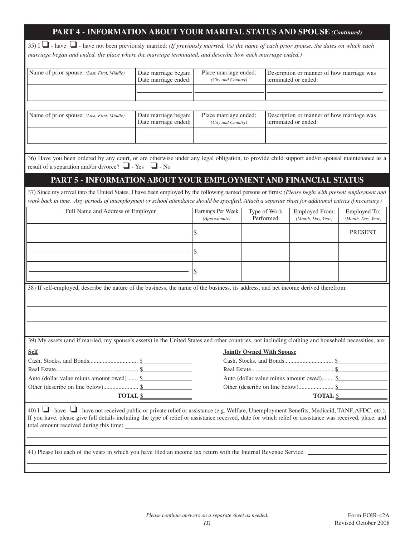# **PART 4 - INFORMATION ABOUT YOUR MARITAL STATUS AND SPOUSE** *(Continued)*

35) I ❏ - have ❏ - have not been previously married: *(If previously married, list the name of each prior spouse, the dates on which each marriage began and ended, the place where the marriage terminated, and describe how each marriage ended.)*

| Name of prior spouse: (Last, First, Middle)                                                                                                              | Date marriage began: | Place marriage ended: |                                  | Description or manner of how marriage was |                    |
|----------------------------------------------------------------------------------------------------------------------------------------------------------|----------------------|-----------------------|----------------------------------|-------------------------------------------|--------------------|
|                                                                                                                                                          | Date marriage ended: | (City and Country)    |                                  | terminated or ended:                      |                    |
|                                                                                                                                                          |                      |                       |                                  |                                           |                    |
|                                                                                                                                                          |                      |                       |                                  |                                           |                    |
|                                                                                                                                                          |                      |                       |                                  |                                           |                    |
|                                                                                                                                                          |                      |                       |                                  |                                           |                    |
| Name of prior spouse: (Last, First, Middle)                                                                                                              | Date marriage began: | Place marriage ended: |                                  | Description or manner of how marriage was |                    |
|                                                                                                                                                          | Date marriage ended: | (City and Country)    |                                  | terminated or ended:                      |                    |
|                                                                                                                                                          |                      |                       |                                  |                                           |                    |
|                                                                                                                                                          |                      |                       |                                  |                                           |                    |
|                                                                                                                                                          |                      |                       |                                  |                                           |                    |
| 36) Have you been ordered by any court, or are otherwise under any legal obligation, to provide child support and/or spousal maintenance as a            |                      |                       |                                  |                                           |                    |
| result of a separation and/or divorce? $\Box$ - Yes $\Box$ - No                                                                                          |                      |                       |                                  |                                           |                    |
|                                                                                                                                                          |                      |                       |                                  |                                           |                    |
| PART 5 - INFORMATION ABOUT YOUR EMPLOYMENT AND FINANCIAL STATUS                                                                                          |                      |                       |                                  |                                           |                    |
|                                                                                                                                                          |                      |                       |                                  |                                           |                    |
| 37) Since my arrival into the United States, I have been employed by the following named persons or firms: (Please begin with present employment and     |                      |                       |                                  |                                           |                    |
| work back in time. Any periods of unemployment or school attendance should be specified. Attach a separate sheet for additional entries if necessary.)   |                      |                       |                                  |                                           |                    |
|                                                                                                                                                          |                      |                       |                                  |                                           |                    |
| Full Name and Address of Employer                                                                                                                        |                      | Earnings Per Week     | Type of Work                     | Employed From:                            | Employed To:       |
|                                                                                                                                                          |                      | (Approximate)         | Performed                        | (Month, Day, Year)                        | (Month, Day, Year) |
|                                                                                                                                                          |                      |                       |                                  |                                           |                    |
|                                                                                                                                                          |                      | \$                    |                                  |                                           | <b>PRESENT</b>     |
|                                                                                                                                                          |                      |                       |                                  |                                           |                    |
|                                                                                                                                                          |                      | \$                    |                                  |                                           |                    |
|                                                                                                                                                          |                      |                       |                                  |                                           |                    |
|                                                                                                                                                          |                      |                       |                                  |                                           |                    |
|                                                                                                                                                          |                      |                       |                                  |                                           |                    |
|                                                                                                                                                          |                      |                       |                                  |                                           |                    |
| 38) If self-employed, describe the nature of the business, the name of the business, its address, and net income derived therefrom:                      |                      |                       |                                  |                                           |                    |
|                                                                                                                                                          |                      |                       |                                  |                                           |                    |
|                                                                                                                                                          |                      |                       |                                  |                                           |                    |
|                                                                                                                                                          |                      |                       |                                  |                                           |                    |
|                                                                                                                                                          |                      |                       |                                  |                                           |                    |
|                                                                                                                                                          |                      |                       |                                  |                                           |                    |
|                                                                                                                                                          |                      |                       |                                  |                                           |                    |
| 39) My assets (and if married, my spouse's assets) in the United States and other countries, not including clothing and household necessities, are:      |                      |                       |                                  |                                           |                    |
|                                                                                                                                                          |                      |                       |                                  |                                           |                    |
| <b>Self</b>                                                                                                                                              |                      |                       | <b>Jointly Owned With Spouse</b> |                                           |                    |
|                                                                                                                                                          |                      |                       |                                  |                                           |                    |
|                                                                                                                                                          |                      |                       |                                  |                                           |                    |
|                                                                                                                                                          |                      |                       |                                  |                                           |                    |
| Auto (dollar value minus amount owed) \$                                                                                                                 |                      |                       |                                  | Auto (dollar value minus amount owed) \$  |                    |
|                                                                                                                                                          |                      |                       |                                  |                                           |                    |
| $\overline{\text{total } \text{S}}$                                                                                                                      |                      |                       |                                  | $\overline{\text{Total } s}$              |                    |
|                                                                                                                                                          |                      |                       |                                  |                                           |                    |
| 40) I $\Box$ - have $\Box$ - have not received public or private relief or assistance (e.g. Welfare, Unemployment Benefits, Medicaid, TANF, AFDC, etc.). |                      |                       |                                  |                                           |                    |
| If you have, please give full details including the type of relief or assistance received, date for which relief or assistance was received, place, and  |                      |                       |                                  |                                           |                    |
|                                                                                                                                                          |                      |                       |                                  |                                           |                    |
|                                                                                                                                                          |                      |                       |                                  |                                           |                    |
|                                                                                                                                                          |                      |                       |                                  |                                           |                    |
|                                                                                                                                                          |                      |                       |                                  |                                           |                    |
| 41) Please list each of the years in which you have filed an income tax return with the Internal Revenue Service:                                        |                      |                       |                                  |                                           |                    |
|                                                                                                                                                          |                      |                       |                                  |                                           |                    |
|                                                                                                                                                          |                      |                       |                                  |                                           |                    |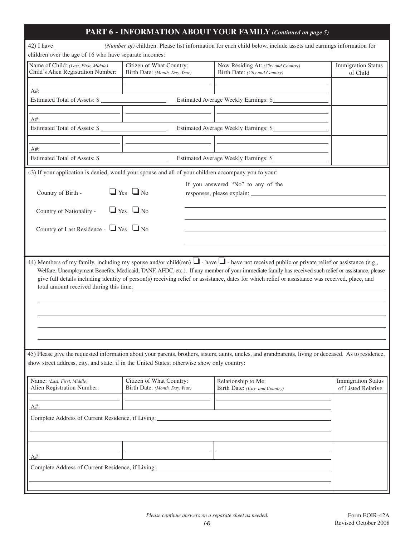|                                                                            |                                                                                                                                                    | PART 6 - INFORMATION ABOUT YOUR FAMILY (Continued on page 5)                                                                                                                               |                                                 |
|----------------------------------------------------------------------------|----------------------------------------------------------------------------------------------------------------------------------------------------|--------------------------------------------------------------------------------------------------------------------------------------------------------------------------------------------|-------------------------------------------------|
|                                                                            |                                                                                                                                                    | 42) I have (Number of) children. Please list information for each child below, include assets and earnings information for                                                                 |                                                 |
| children over the age of 16 who have separate incomes:                     |                                                                                                                                                    |                                                                                                                                                                                            |                                                 |
| Name of Child: (Last, First, Middle)<br>Child's Alien Registration Number: | Citizen of What Country:<br>Birth Date: (Month, Day, Year)                                                                                         | Now Residing At: (City and Country)<br>Birth Date: (City and Country)                                                                                                                      | <b>Immigration Status</b><br>of Child           |
|                                                                            |                                                                                                                                                    |                                                                                                                                                                                            |                                                 |
| A#:<br>Estimated Total of Assets: \$                                       |                                                                                                                                                    |                                                                                                                                                                                            |                                                 |
|                                                                            |                                                                                                                                                    | Estimated Average Weekly Earnings: \$                                                                                                                                                      |                                                 |
| $A#$ :                                                                     |                                                                                                                                                    |                                                                                                                                                                                            |                                                 |
|                                                                            |                                                                                                                                                    | Estimated Total of Assets: \$                                                                                                                                                              |                                                 |
|                                                                            |                                                                                                                                                    |                                                                                                                                                                                            |                                                 |
| A#:<br>Estimated Total of Assets: \$                                       | the control of the control of the control of the control of the control of                                                                         |                                                                                                                                                                                            |                                                 |
|                                                                            |                                                                                                                                                    | Estimated Average Weekly Earnings: \$                                                                                                                                                      |                                                 |
|                                                                            | 43) If your application is denied, would your spouse and all of your children accompany you to your:                                               |                                                                                                                                                                                            |                                                 |
|                                                                            |                                                                                                                                                    | If you answered "No" to any of the                                                                                                                                                         |                                                 |
| Country of Birth -                                                         | $\Box$ Yes $\Box$ No                                                                                                                               |                                                                                                                                                                                            |                                                 |
| Country of Nationality -                                                   | $\Box$ Yes $\Box$ No                                                                                                                               |                                                                                                                                                                                            |                                                 |
|                                                                            |                                                                                                                                                    |                                                                                                                                                                                            |                                                 |
| Country of Last Residence - $\Box$ Yes $\Box$ No                           |                                                                                                                                                    |                                                                                                                                                                                            |                                                 |
|                                                                            |                                                                                                                                                    |                                                                                                                                                                                            |                                                 |
|                                                                            |                                                                                                                                                    |                                                                                                                                                                                            |                                                 |
|                                                                            | Welfare, Unemployment Benefits, Medicaid, TANF, AFDC, etc.). If any member of your immediate family has received such relief or assistance, please |                                                                                                                                                                                            |                                                 |
|                                                                            |                                                                                                                                                    | give full details including identity of person(s) receiving relief or assistance, dates for which relief or assistance was received, place, and<br>total amount received during this time: |                                                 |
|                                                                            |                                                                                                                                                    |                                                                                                                                                                                            |                                                 |
|                                                                            |                                                                                                                                                    |                                                                                                                                                                                            |                                                 |
|                                                                            |                                                                                                                                                    |                                                                                                                                                                                            |                                                 |
|                                                                            |                                                                                                                                                    | 45) Please give the requested information about your parents, brothers, sisters, aunts, uncles, and grandparents, living or deceased. As to residence,                                     |                                                 |
|                                                                            | show street address, city, and state, if in the United States; otherwise show only country:                                                        |                                                                                                                                                                                            |                                                 |
|                                                                            |                                                                                                                                                    |                                                                                                                                                                                            |                                                 |
| Name: (Last, First, Middle)                                                | Citizen of What Country:                                                                                                                           | Relationship to Me:                                                                                                                                                                        |                                                 |
| Alien Registration Number:                                                 | Birth Date: (Month, Day, Year)                                                                                                                     | Birth Date: (City and Country)                                                                                                                                                             |                                                 |
| A#:                                                                        |                                                                                                                                                    |                                                                                                                                                                                            |                                                 |
| Complete Address of Current Residence, if Living:                          |                                                                                                                                                    |                                                                                                                                                                                            |                                                 |
|                                                                            |                                                                                                                                                    |                                                                                                                                                                                            |                                                 |
|                                                                            |                                                                                                                                                    |                                                                                                                                                                                            |                                                 |
|                                                                            |                                                                                                                                                    |                                                                                                                                                                                            |                                                 |
| A#:                                                                        |                                                                                                                                                    |                                                                                                                                                                                            | <b>Immigration Status</b><br>of Listed Relative |
| Complete Address of Current Residence, if Living:                          |                                                                                                                                                    |                                                                                                                                                                                            |                                                 |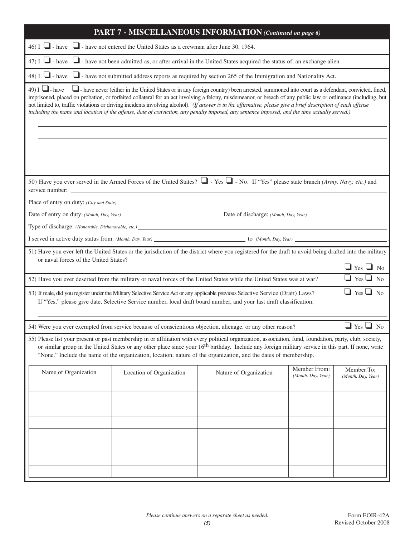| PART 7 - MISCELLANEOUS INFORMATION (Continued on page 6)                                                                                                                                                                                                                                                                                                                                                                                                                                                                                                                                                                                            |                                                                                                                                          |                                                                                                                                                                                                                                                          |                                    |                                              |  |
|-----------------------------------------------------------------------------------------------------------------------------------------------------------------------------------------------------------------------------------------------------------------------------------------------------------------------------------------------------------------------------------------------------------------------------------------------------------------------------------------------------------------------------------------------------------------------------------------------------------------------------------------------------|------------------------------------------------------------------------------------------------------------------------------------------|----------------------------------------------------------------------------------------------------------------------------------------------------------------------------------------------------------------------------------------------------------|------------------------------------|----------------------------------------------|--|
| 46) I $\Box$ - have $\Box$ - have not entered the United States as a crewman after June 30, 1964.                                                                                                                                                                                                                                                                                                                                                                                                                                                                                                                                                   |                                                                                                                                          |                                                                                                                                                                                                                                                          |                                    |                                              |  |
|                                                                                                                                                                                                                                                                                                                                                                                                                                                                                                                                                                                                                                                     | 47) I $\Box$ - have $\Box$ - have not been admitted as, or after arrival in the United States acquired the status of, an exchange alien. |                                                                                                                                                                                                                                                          |                                    |                                              |  |
|                                                                                                                                                                                                                                                                                                                                                                                                                                                                                                                                                                                                                                                     |                                                                                                                                          | 48) I $\Box$ - have $\Box$ - have not submitted address reports as required by section 265 of the Immigration and Nationality Act.                                                                                                                       |                                    |                                              |  |
| 49) I $\Box$ - have<br>I have never (either in the United States or in any foreign country) been arrested, summoned into court as a defendant, convicted, fined,<br>imprisoned, placed on probation, or forfeited collateral for an act involving a felony, misdemeanor, or breach of any public law or ordinance (including, but<br>not limited to, traffic violations or driving incidents involving alcohol). (If answer is in the affirmative, please give a brief description of each offense<br>including the name and location of the offense, date of conviction, any penalty imposed, any sentence imposed, and the time actually served.) |                                                                                                                                          |                                                                                                                                                                                                                                                          |                                    |                                              |  |
|                                                                                                                                                                                                                                                                                                                                                                                                                                                                                                                                                                                                                                                     |                                                                                                                                          |                                                                                                                                                                                                                                                          |                                    |                                              |  |
|                                                                                                                                                                                                                                                                                                                                                                                                                                                                                                                                                                                                                                                     |                                                                                                                                          | 50) Have you ever served in the Armed Forces of the United States? $\Box$ - Yes $\Box$ - No. If "Yes" please state branch (Army, Navy, etc.) and                                                                                                         |                                    |                                              |  |
|                                                                                                                                                                                                                                                                                                                                                                                                                                                                                                                                                                                                                                                     |                                                                                                                                          |                                                                                                                                                                                                                                                          |                                    |                                              |  |
|                                                                                                                                                                                                                                                                                                                                                                                                                                                                                                                                                                                                                                                     |                                                                                                                                          | Date of entry on duty: (Month, Day, Year) Date of discharge: (Month, Day, Year)                                                                                                                                                                          |                                    |                                              |  |
|                                                                                                                                                                                                                                                                                                                                                                                                                                                                                                                                                                                                                                                     |                                                                                                                                          |                                                                                                                                                                                                                                                          |                                    |                                              |  |
|                                                                                                                                                                                                                                                                                                                                                                                                                                                                                                                                                                                                                                                     |                                                                                                                                          |                                                                                                                                                                                                                                                          |                                    |                                              |  |
| or naval forces of the United States?                                                                                                                                                                                                                                                                                                                                                                                                                                                                                                                                                                                                               |                                                                                                                                          | 51) Have you ever left the United States or the jurisdiction of the district where you registered for the draft to avoid being drafted into the military                                                                                                 |                                    | $\Box$ Yes $\Box$ No<br>$\Box$ Yes $\Box$ No |  |
|                                                                                                                                                                                                                                                                                                                                                                                                                                                                                                                                                                                                                                                     |                                                                                                                                          | 52) Have you ever deserted from the military or naval forces of the United States while the United States was at war?                                                                                                                                    |                                    |                                              |  |
|                                                                                                                                                                                                                                                                                                                                                                                                                                                                                                                                                                                                                                                     |                                                                                                                                          | 53) If male, did you register under the Military Selective Service Act or any applicable previous Selective Service (Draft) Laws?<br>If "Yes," please give date, Selective Service number, local draft board number, and your last draft classification: |                                    | $\Box$ Yes $\Box$ No.                        |  |
|                                                                                                                                                                                                                                                                                                                                                                                                                                                                                                                                                                                                                                                     |                                                                                                                                          | 54) Were you ever exempted from service because of conscientious objection, alienage, or any other reason?                                                                                                                                               |                                    | $\Box$ Yes $\Box$ No                         |  |
| 55) Please list your present or past membership in or affiliation with every political organization, association, fund, foundation, party, club, society,<br>or similar group in the United States or any other place since your 16 <sup>th</sup> birthday. Include any foreign military service in this part. If none, write<br>"None." Include the name of the organization, location, nature of the organization, and the dates of membership.                                                                                                                                                                                                   |                                                                                                                                          |                                                                                                                                                                                                                                                          |                                    |                                              |  |
| Name of Organization                                                                                                                                                                                                                                                                                                                                                                                                                                                                                                                                                                                                                                | Location of Organization                                                                                                                 | Nature of Organization                                                                                                                                                                                                                                   | Member From:<br>(Month, Day, Year) | Member To:<br>(Month, Day, Year)             |  |
|                                                                                                                                                                                                                                                                                                                                                                                                                                                                                                                                                                                                                                                     |                                                                                                                                          |                                                                                                                                                                                                                                                          |                                    |                                              |  |
|                                                                                                                                                                                                                                                                                                                                                                                                                                                                                                                                                                                                                                                     |                                                                                                                                          |                                                                                                                                                                                                                                                          |                                    |                                              |  |
|                                                                                                                                                                                                                                                                                                                                                                                                                                                                                                                                                                                                                                                     |                                                                                                                                          |                                                                                                                                                                                                                                                          |                                    |                                              |  |
|                                                                                                                                                                                                                                                                                                                                                                                                                                                                                                                                                                                                                                                     |                                                                                                                                          |                                                                                                                                                                                                                                                          |                                    |                                              |  |
|                                                                                                                                                                                                                                                                                                                                                                                                                                                                                                                                                                                                                                                     |                                                                                                                                          |                                                                                                                                                                                                                                                          |                                    |                                              |  |
|                                                                                                                                                                                                                                                                                                                                                                                                                                                                                                                                                                                                                                                     |                                                                                                                                          |                                                                                                                                                                                                                                                          |                                    |                                              |  |
|                                                                                                                                                                                                                                                                                                                                                                                                                                                                                                                                                                                                                                                     |                                                                                                                                          |                                                                                                                                                                                                                                                          |                                    |                                              |  |
|                                                                                                                                                                                                                                                                                                                                                                                                                                                                                                                                                                                                                                                     |                                                                                                                                          |                                                                                                                                                                                                                                                          |                                    |                                              |  |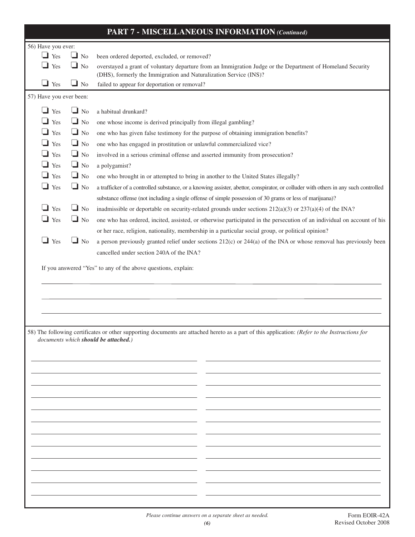| <b>PART 7 - MISCELLANEOUS INFORMATION (Continued)</b> |           |                                                                                                                                                                                        |  |
|-------------------------------------------------------|-----------|----------------------------------------------------------------------------------------------------------------------------------------------------------------------------------------|--|
| 56) Have you ever:                                    |           |                                                                                                                                                                                        |  |
| $\Box$ Yes                                            | $\Box$ No | been ordered deported, excluded, or removed?                                                                                                                                           |  |
| $\Box$ Yes                                            | $\Box$ No | overstayed a grant of voluntary departure from an Immigration Judge or the Department of Homeland Security<br>(DHS), formerly the Immigration and Naturalization Service (INS)?        |  |
| $\Box$ Yes                                            | $\Box$ No | failed to appear for deportation or removal?                                                                                                                                           |  |
| 57) Have you ever been:                               |           |                                                                                                                                                                                        |  |
| $\Box$ Yes                                            | $\Box$ No | a habitual drunkard?                                                                                                                                                                   |  |
| Yes                                                   | $\Box$ No | one whose income is derived principally from illegal gambling?                                                                                                                         |  |
| $\Box$ Yes                                            | $\Box$ No | one who has given false testimony for the purpose of obtaining immigration benefits?                                                                                                   |  |
| Yes                                                   | $\Box$ No | one who has engaged in prostitution or unlawful commercialized vice?                                                                                                                   |  |
| $\Box$ Yes                                            | $\Box$ No | involved in a serious criminal offense and asserted immunity from prosecution?                                                                                                         |  |
| $\Box$ Yes                                            | $\Box$ No | a polygamist?                                                                                                                                                                          |  |
| $\Box$ Yes                                            | $\Box$ No | one who brought in or attempted to bring in another to the United States illegally?                                                                                                    |  |
| $\Box$ Yes                                            | $\Box$ No | a trafficker of a controlled substance, or a knowing assister, abettor, conspirator, or colluder with others in any such controlled                                                    |  |
|                                                       |           | substance offense (not including a single offense of simple possession of 30 grams or less of marijuana)?                                                                              |  |
| $\Box$ Yes                                            | $\Box$ No | inadmissible or deportable on security-related grounds under sections $212(a)(3)$ or $237(a)(4)$ of the INA?                                                                           |  |
| $\Box$ Yes                                            | $\Box$ No | one who has ordered, incited, assisted, or otherwise participated in the persecution of an individual on account of his                                                                |  |
|                                                       |           | or her race, religion, nationality, membership in a particular social group, or political opinion?                                                                                     |  |
| $\Box$ Yes                                            | $\Box$ No | a person previously granted relief under sections $212(c)$ or $244(a)$ of the INA or whose removal has previously been                                                                 |  |
|                                                       |           | cancelled under section 240A of the INA?                                                                                                                                               |  |
|                                                       |           |                                                                                                                                                                                        |  |
|                                                       |           | 58) The following certificates or other supporting documents are attached hereto as a part of this application: (Refer to the Instructions for<br>documents which should be attached.) |  |
|                                                       |           |                                                                                                                                                                                        |  |